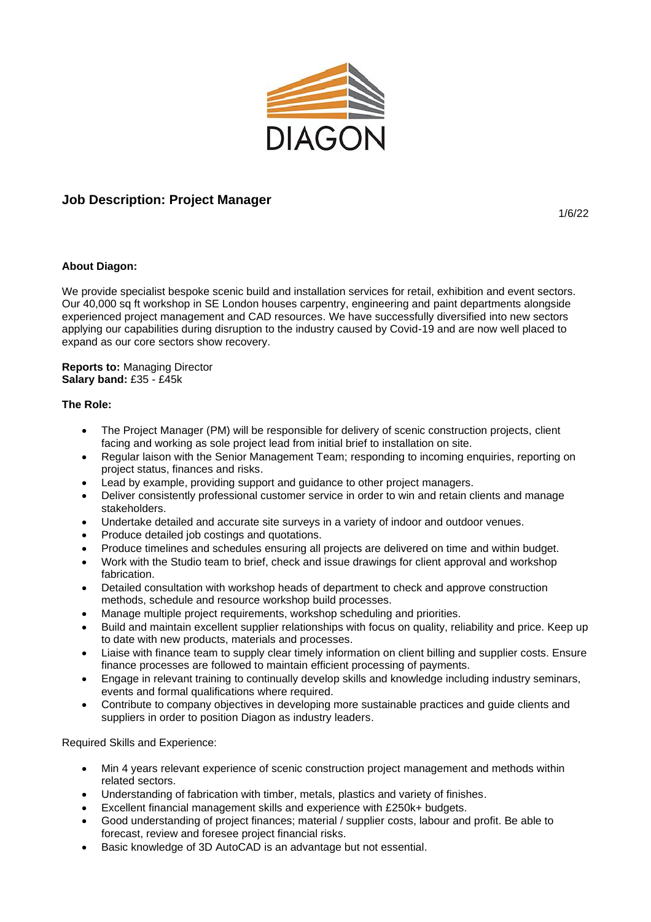

## **Job Description: Project Manager**

1/6/22

## **About Diagon:**

We provide specialist bespoke scenic build and installation services for retail, exhibition and event sectors. Our 40,000 sq ft workshop in SE London houses carpentry, engineering and paint departments alongside experienced project management and CAD resources. We have successfully diversified into new sectors applying our capabilities during disruption to the industry caused by Covid-19 and are now well placed to expand as our core sectors show recovery.

**Reports to:** Managing Director **Salary band:** £35 - £45k

## **The Role:**

- The Project Manager (PM) will be responsible for delivery of scenic construction projects, client facing and working as sole project lead from initial brief to installation on site.
- Regular laison with the Senior Management Team; responding to incoming enquiries, reporting on project status, finances and risks.
- Lead by example, providing support and guidance to other project managers.
- Deliver consistently professional customer service in order to win and retain clients and manage stakeholders.
- Undertake detailed and accurate site surveys in a variety of indoor and outdoor venues.
- Produce detailed job costings and quotations.
- Produce timelines and schedules ensuring all projects are delivered on time and within budget.
- Work with the Studio team to brief, check and issue drawings for client approval and workshop fabrication.
- Detailed consultation with workshop heads of department to check and approve construction methods, schedule and resource workshop build processes.
- Manage multiple project requirements, workshop scheduling and priorities.
- Build and maintain excellent supplier relationships with focus on quality, reliability and price. Keep up to date with new products, materials and processes.
- Liaise with finance team to supply clear timely information on client billing and supplier costs. Ensure finance processes are followed to maintain efficient processing of payments.
- Engage in relevant training to continually develop skills and knowledge including industry seminars, events and formal qualifications where required.
- Contribute to company objectives in developing more sustainable practices and guide clients and suppliers in order to position Diagon as industry leaders.

Required Skills and Experience:

- Min 4 years relevant experience of scenic construction project management and methods within related sectors.
- Understanding of fabrication with timber, metals, plastics and variety of finishes.
- Excellent financial management skills and experience with £250k+ budgets.
- Good understanding of project finances; material / supplier costs, labour and profit. Be able to forecast, review and foresee project financial risks.
- Basic knowledge of 3D AutoCAD is an advantage but not essential.